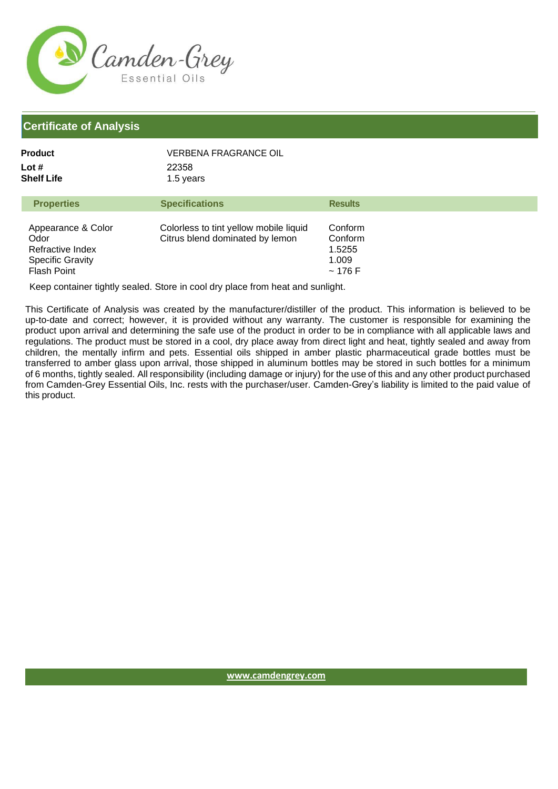

## **Certificate of Analysis**

| Product             | VERBENA FRAGRANCE OIL |                |
|---------------------|-----------------------|----------------|
| Lot #<br>Shelf Life | 22358<br>1.5 years    |                |
| <b>Properties</b>   | <b>Specifications</b> | <b>Results</b> |

| Appearance & Color<br>Odor<br>Refractive Index<br><b>Specific Gravity</b><br><b>Flash Point</b> | Colorless to tint yellow mobile liquid<br>Citrus blend dominated by lemon | Conform<br>Conform<br>1.5255<br>1.009<br>~176 F |
|-------------------------------------------------------------------------------------------------|---------------------------------------------------------------------------|-------------------------------------------------|

Keep container tightly sealed. Store in cool dry place from heat and sunlight.

This Certificate of Analysis was created by the manufacturer/distiller of the product. This information is believed to be up-to-date and correct; however, it is provided without any warranty. The customer is responsible for examining the product upon arrival and determining the safe use of the product in order to be in compliance with all applicable laws and regulations. The product must be stored in a cool, dry place away from direct light and heat, tightly sealed and away from children, the mentally infirm and pets. Essential oils shipped in amber plastic pharmaceutical grade bottles must be transferred to amber glass upon arrival, those shipped in aluminum bottles may be stored in such bottles for a minimum of 6 months, tightly sealed. All responsibility (including damage or injury) for the use of this and any other product purchased from Camden-Grey Essential Oils, Inc. rests with the purchaser/user. Camden-Grey's liability is limited to the paid value of this product.